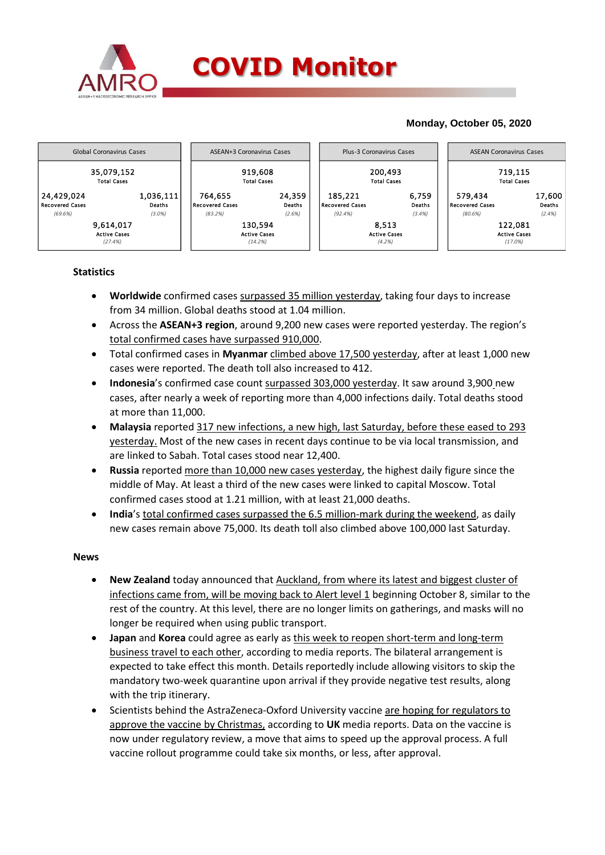

## **Monday, October 05, 2020**



## **Statistics**

- **Worldwide** confirmed cases surpassed 35 million yesterday, taking four days to increase from 34 million. Global deaths stood at 1.04 million.
- Across the **ASEAN+3 region**, around 9,200 new cases were reported yesterday. The region's total confirmed cases have surpassed 910,000.
- Total confirmed cases in **Myanmar** climbed above 17,500 yesterday, after at least 1,000 new cases were reported. The death toll also increased to 412.
- **Indonesia**'s confirmed case count surpassed 303,000 yesterday. It saw around 3,900 new cases, after nearly a week of reporting more than 4,000 infections daily. Total deaths stood at more than 11,000.
- **Malaysia** reported 317 new infections, a new high, last Saturday, before these eased to 293 yesterday. Most of the new cases in recent days continue to be via local transmission, and are linked to Sabah. Total cases stood near 12,400.
- **Russia** reported more than 10,000 new cases yesterday, the highest daily figure since the middle of May. At least a third of the new cases were linked to capital Moscow. Total confirmed cases stood at 1.21 million, with at least 21,000 deaths.
- **India**'s total confirmed cases surpassed the 6.5 million-mark during the weekend, as daily new cases remain above 75,000. Its death toll also climbed above 100,000 last Saturday.

## **News**

- **New Zealand** today announced that Auckland, from where its latest and biggest cluster of infections came from, will be moving back to Alert level 1 beginning October 8, similar to the rest of the country. At this level, there are no longer limits on gatherings, and masks will no longer be required when using public transport.
- **Japan** and **Korea** could agree as early as this week to reopen short-term and long-term business travel to each other, according to media reports. The bilateral arrangement is expected to take effect this month. Details reportedly include allowing visitors to skip the mandatory two-week quarantine upon arrival if they provide negative test results, along with the trip itinerary.
- Scientists behind the AstraZeneca-Oxford University vaccine are hoping for regulators to approve the vaccine by Christmas, according to **UK** media reports. Data on the vaccine is now under regulatory review, a move that aims to speed up the approval process. A full vaccine rollout programme could take six months, or less, after approval.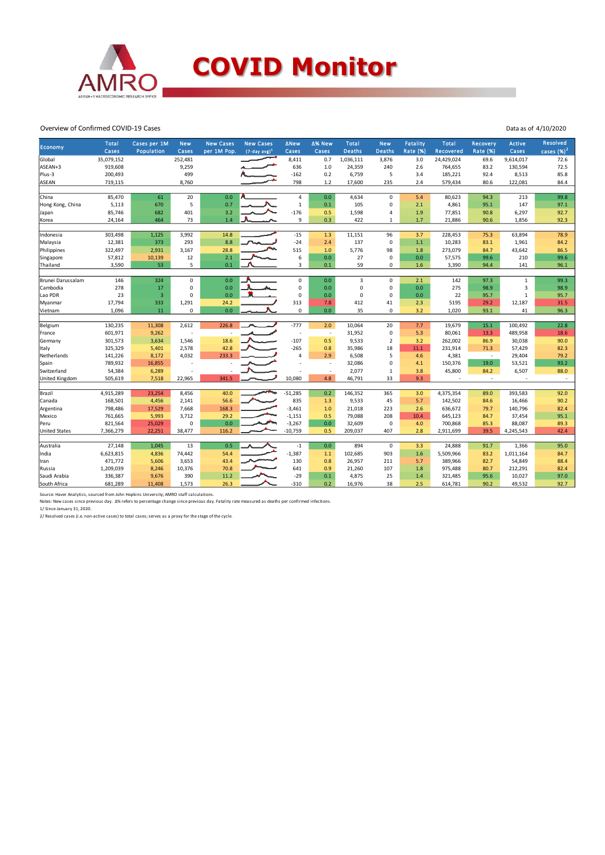

Overview of Confirmed COVID-19 Cases

|                      | <b>Total</b> |                            |                      | <b>New Cases</b> | <b>New Cases</b> | <b>ANew</b>              | ∆% New                   | Total         |                             |                      | <b>Total</b> |                             |                          | <b>Resolved</b> |
|----------------------|--------------|----------------------------|----------------------|------------------|------------------|--------------------------|--------------------------|---------------|-----------------------------|----------------------|--------------|-----------------------------|--------------------------|-----------------|
| Economy              | Cases        | Cases per 1M<br>Population | <b>New</b><br>Cases  | per 1M Pop.      | $(7-day avg)^1$  | Cases                    | Cases                    | <b>Deaths</b> | <b>New</b><br><b>Deaths</b> | Fatality<br>Rate (%) | Recovered    | Recovery<br><b>Rate (%)</b> | Active<br>Cases          | cases $(%)2$    |
| Global               | 35,079,152   |                            | 252,481              |                  |                  | 8,411                    | 0.7                      | 1,036,111     | 3,876                       | 3.0                  | 24,429,024   | 69.6                        | 9,614,017                | 72.6            |
| ASEAN+3              | 919,608      |                            | 9,259                |                  |                  | 636                      | 1.0                      | 24,359        | 240                         | 2.6                  | 764,655      | 83.2                        | 130,594                  | 72.5            |
| Plus-3               | 200,493      |                            | 499                  |                  |                  | $-162$                   | 0.2                      | 6,759         | 5                           | 3.4                  | 185,221      | 92.4                        | 8,513                    | 85.8            |
| <b>ASEAN</b>         | 719,115      |                            | 8,760                |                  |                  | 798                      | 1.2                      | 17,600        | 235                         | 2.4                  | 579,434      | 80.6                        | 122,081                  | 84.4            |
|                      |              |                            |                      |                  |                  |                          |                          |               |                             |                      |              |                             |                          |                 |
| China                | 85,470       | 61                         | 20                   | 0.0              |                  | $\pmb{4}$                | 0.0                      | 4,634         | $\mathbf 0$                 | 5.4                  | 80,623       | 94.3                        | 213                      | 99.8            |
| Hong Kong, China     | 5,113        | 670                        | 5                    | 0.7              |                  | $\mathbf 1$              | 0.1                      | 105           | $\Omega$                    | 2.1                  | 4,861        | 95.1                        | 147                      | 97.1            |
| Japan                | 85,746       | 682                        | 401                  | 3.2              |                  | $-176$                   | 0.5                      | 1,598         | 4                           | 1.9                  | 77,851       | 90.8                        | 6,297                    | 92.7            |
| Korea                | 24,164       | 464                        | 73                   | 1.4              |                  | 9                        | 0.3                      | 422           | 1                           | 1.7                  | 21,886       | 90.6                        | 1,856                    | 92.3            |
|                      |              |                            |                      |                  |                  |                          |                          |               |                             |                      |              |                             |                          |                 |
| Indonesia            | 303,498      | 1,125                      | 3,992                | 14.8             |                  | $-15$                    | 1.3                      | 11,151        | 96                          | 3.7                  | 228,453      | 75.3                        | 63,894                   | 78.9            |
| Malaysia             | 12,381       | 373                        | 293                  | 8.8              |                  | $-24$                    | 2.4                      | 137           | $\mathbf 0$                 | 1.1                  | 10,283       | 83.1                        | 1,961                    | 84.2            |
| Philippines          | 322,497      | 2,931                      | 3,167                | 28.8             |                  | 515                      | 1.0                      | 5,776         | 98                          | 1.8                  | 273,079      | 84.7                        | 43,642                   | 86.5            |
| Singapore            | 57,812       | 10,139                     | 12                   | 2.1              |                  | 6                        | 0.0                      | 27            | 0                           | 0.0                  | 57,575       | 99.6                        | 210                      | 99.6            |
| Thailand             | 3,590        | 53                         | 5                    | 0.1              |                  | 3                        | 0.1                      | 59            | $\mathbf 0$                 | 1.6                  | 3,390        | 94.4                        | 141                      | 96.1            |
| Brunei Darussalam    | 146          | 324                        | $\mathsf 0$          | 0.0              |                  | 0                        | 0.0                      | 3             | $\mathbf 0$                 | 2.1                  | 142          | 97.3                        | $\mathbf 1$              | 99.3            |
| Cambodia             | 278          | 17                         | $\mathbf 0$          | 0.0              |                  | 0                        | 0.0                      | $\Omega$      | $\Omega$                    | 0.0                  | 275          | 98.9                        | $\overline{\mathbf{3}}$  | 98.9            |
| Lao PDR              | 23           | $\overline{3}$             | $\mathbf 0$          | 0.0              |                  | 0                        |                          | $\Omega$      | 0                           |                      | 22           |                             | $\mathbf{1}$             |                 |
|                      |              |                            |                      |                  |                  |                          | 0.0                      |               |                             | 0.0                  |              | 95.7                        |                          | 95.7            |
| Myanmar              | 17,794       | 333<br>11                  | 1,291<br>$\mathbf 0$ | 24.2<br>0.0      |                  | 313<br>$\mathbf 0$       | 7.8<br>0.0               | 412<br>35     | 41<br>0                     | 2.3                  | 5195         | 29.2                        | 12,187<br>41             | 31.5<br>96.3    |
| Vietnam              | 1,096        |                            |                      |                  |                  |                          |                          |               |                             | 3.2                  | 1,020        | 93.1                        |                          |                 |
| Belgium              | 130,235      | 11,308                     | 2,612                | 226.8            |                  | $-777$                   | 2.0                      | 10,064        | 20                          | 7.7                  | 19,679       | 15.1                        | 100,492                  | 22.8            |
| France               | 601,971      | 9,262                      | J.                   |                  |                  | $\overline{\phantom{a}}$ | $\overline{\phantom{a}}$ | 31,952        | 0                           | 5.3                  | 80,061       | 13.3                        | 489,958                  | 18.6            |
| Germany              | 301,573      | 3,634                      | 1,546                | 18.6             |                  | $-107$                   | 0.5                      | 9,533         | $\overline{2}$              | 3.2                  | 262,002      | 86.9                        | 30,038                   | 90.0            |
| Italy                | 325,329      | 5,401                      | 2,578                | 42.8             |                  | $-265$                   | 0.8                      | 35,986        | 18                          | 11.1                 | 231,914      | 71.3                        | 57,429                   | 82.3            |
| Netherlands          | 141,226      | 8,172                      | 4,032                | 233.3            |                  | 4                        | 2.9                      | 6,508         | 5                           | 4.6                  | 4,381        | $\sim$                      | 29,404                   | 79.2            |
| Spain                | 789,932      | 16,855                     | J.                   |                  |                  |                          | ÷,                       | 32,086        | $\Omega$                    | 4.1                  | 150,376      | 19.0                        | 53,521                   | 93.2            |
| Switzerland          | 54,384       | 6,289                      |                      |                  |                  |                          | $\overline{\phantom{a}}$ | 2,077         | 1                           | 3.8                  | 45,800       | 84.2                        | 6,507                    | 88.0            |
| United Kingdom       | 505,619      | 7,518                      | 22,965               | 341.5            |                  | 10,080                   | 4.8                      | 46,791        | 33                          | 9.3                  |              | $\sim$                      | $\overline{\phantom{a}}$ | $\sim$          |
|                      |              |                            |                      |                  |                  |                          |                          |               |                             |                      |              |                             |                          |                 |
| Brazil               | 4,915,289    | 23,254                     | 8,456                | 40.0             |                  | $-51,285$                | 0.2                      | 146,352       | 365                         | 3.0                  | 4,375,354    | 89.0                        | 393,583                  | 92.0            |
| Canada               | 168,501      | 4,456                      | 2,141                | 56.6             |                  | 835                      | 1.3                      | 9,533         | 45                          | 5.7                  | 142,502      | 84.6                        | 16,466                   | 90.2            |
| Argentina            | 798,486      | 17,529                     | 7,668                | 168.3            |                  | $-3,461$                 | 1.0                      | 21,018        | 223                         | 2.6                  | 636,672      | 79.7                        | 140,796                  | 82.4            |
| Mexico               | 761,665      | 5,993                      | 3,712                | 29.2             |                  | $-1,151$                 | 0.5                      | 79,088        | 208                         | 10.4                 | 645,123      | 84.7                        | 37,454                   | 95.1            |
| Peru                 | 821,564      | 25,029                     | $\mathbf 0$          | 0.0              |                  | $-3,267$                 | 0.0                      | 32,609        | $\mathbf 0$                 | 4.0                  | 700,868      | 85.3                        | 88,087                   | 89.3            |
| <b>United States</b> | 7,366,279    | 22,251                     | 38,477               | 116.2            |                  | $-10,759$                | 0.5                      | 209,037       | 407                         | 2.8                  | 2,911,699    | 39.5                        | 4,245,543                | 42.4            |
|                      | 27,148       | 1,045                      | 13                   | 0.5              |                  | $-1$                     | 0.0                      | 894           | $\mathbf 0$                 | 3.3                  | 24,888       | 91.7                        | 1,366                    | 95.0            |
| Australia<br>India   | 6,623,815    | 4,836                      | 74,442               | 54.4             |                  | $-1,387$                 | 1.1                      | 102,685       | 903                         | 1.6                  | 5,509,966    | 83.2                        | 1,011,164                | 84.7            |
|                      | 471,772      | 5,606                      | 3,653                | 43.4             |                  | 130                      | 0.8                      | 26,957        | 211                         | 5.7                  | 389,966      | 82.7                        | 54,849                   | 88.4            |
| Iran                 |              |                            |                      | 70.8             |                  | 641                      |                          |               |                             |                      |              |                             |                          |                 |
| Russia               | 1,209,039    | 8,246                      | 10,376               | 11.2             |                  | $-29$                    | 0.9                      | 21,260        | 107                         | 1.8                  | 975,488      | 80.7<br>95.6                | 212,291<br>10,027        | 82.4<br>97.0    |
| Saudi Arabia         | 336,387      | 9,676                      | 390                  |                  |                  |                          | 0.1                      | 4,875         | 25                          | 1.4                  | 321,485      |                             |                          |                 |
| South Africa         | 681,289      | 11,408                     | 1,573                | 26.3             |                  | $-310$                   | 0.2                      | 16,976        | 38                          | 2.5                  | 614,781      | 90.2                        | 49,532                   | 92.7            |

Source: Haver Analytics, sourced from John Hopkins University; AMRO staff calculations.<br>Notes: New cases since previous day. ∆% refers to percentage change since previous day. Fatality rate measured as deaths per confirmed

2/ Resolved cases (i.e. non-active cases) to total cases; serves as a proxy for the stage of the cycle.

Data as of 4/10/2020